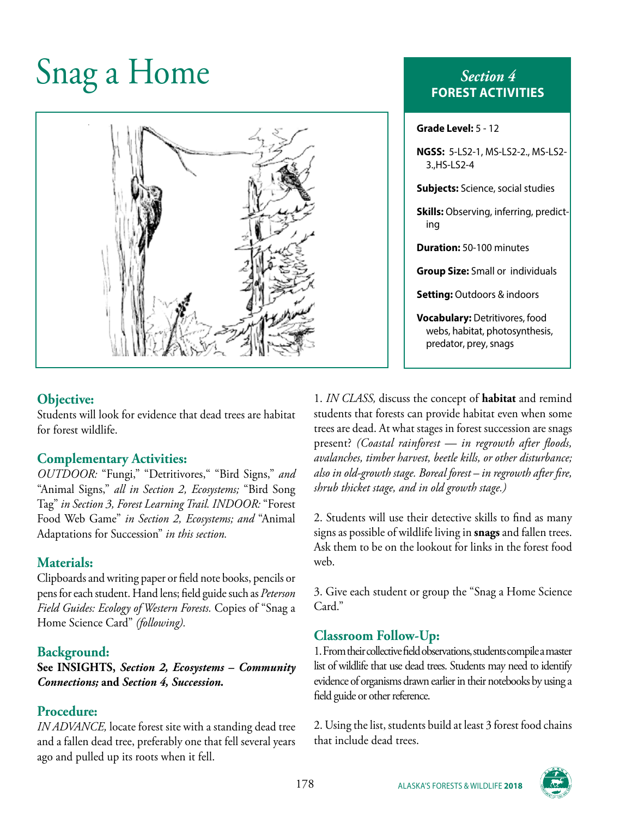# Snag a Home *Section 4*



#### **Objective:**

Students will look for evidence that dead trees are habitat for forest wildlife.

## **Complementary Activities:**

*OUTDOOR:* "Fungi," "Detritivores," "Bird Signs," *and* "Animal Signs," *all in Section 2, Ecosystems;* "Bird Song Tag" *in Section 3, Forest Learning Trail. INDOOR:* "Forest Food Web Game" *in Section 2, Ecosystems; and* "Animal Adaptations for Succession" *in this section.*

#### **Materials:**

Clipboards and writing paper or field note books, pencils or pens for each student. Hand lens; field guide such as *Peterson Field Guides: Ecology of Western Forests.* Copies of "Snag a Home Science Card" *(following).*

## **Background:**

**See INSIGHTS,** *Section 2, Ecosystems – Community Connections;* **and** *Section 4, Succession.*

## **Procedure:**

*IN ADVANCE,* locate forest site with a standing dead tree and a fallen dead tree, preferably one that fell several years ago and pulled up its roots when it fell.

# **FOREST ACTIVITIES**

| Grade Level: 5 - 12                                                                              |
|--------------------------------------------------------------------------------------------------|
| NGSS: 5-LS2-1, MS-LS2-2., MS-LS2-<br>3., HS-LS2-4                                                |
| <b>Subjects:</b> Science, social studies                                                         |
| <b>Skills:</b> Observing, inferring, predict-<br>ing                                             |
| <b>Duration:</b> 50-100 minutes                                                                  |
| <b>Group Size: Small or individuals</b>                                                          |
| <b>Setting:</b> Outdoors & indoors                                                               |
| <b>Vocabulary:</b> Detritivores, food<br>webs, habitat, photosynthesis,<br>predator, prey, snags |

1. *IN CLASS,* discuss the concept of **habitat** and remind students that forests can provide habitat even when some trees are dead. At what stages in forest succession are snags present? *(Coastal rainforest — in regrowth after floods, avalanches, timber harvest, beetle kills, or other disturbance; also in old-growth stage. Boreal forest – in regrowth after fire, shrub thicket stage, and in old growth stage.)*

2. Students will use their detective skills to find as many signs as possible of wildlife living in **snags** and fallen trees. Ask them to be on the lookout for links in the forest food web.

3. Give each student or group the "Snag a Home Science Card."

# **Classroom Follow-Up:**

1. From their collective field observations, students compile a master list of wildlife that use dead trees. Students may need to identify evidence of organisms drawn earlier in their notebooks by using a field guide or other reference.

2. Using the list, students build at least 3 forest food chains that include dead trees.